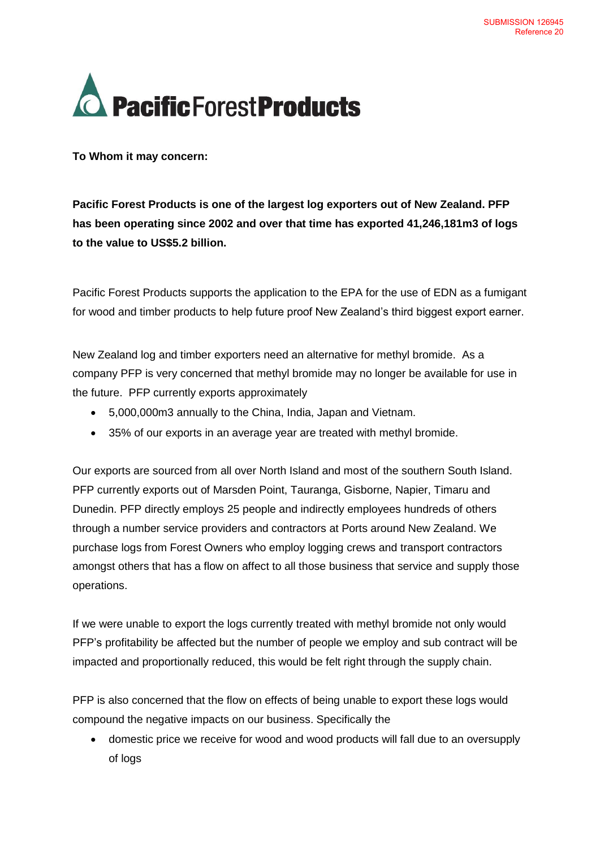

**To Whom it may concern:**

**Pacific Forest Products is one of the largest log exporters out of New Zealand. PFP has been operating since 2002 and over that time has exported 41,246,181m3 of logs to the value to US\$5.2 billion.**

Pacific Forest Products supports the application to the EPA for the use of EDN as a fumigant for wood and timber products to help future proof New Zealand's third biggest export earner.

New Zealand log and timber exporters need an alternative for methyl bromide. As a company PFP is very concerned that methyl bromide may no longer be available for use in the future. PFP currently exports approximately

- 5,000,000m3 annually to the China, India, Japan and Vietnam.
- 35% of our exports in an average year are treated with methyl bromide.

Our exports are sourced from all over North Island and most of the southern South Island. PFP currently exports out of Marsden Point, Tauranga, Gisborne, Napier, Timaru and Dunedin. PFP directly employs 25 people and indirectly employees hundreds of others through a number service providers and contractors at Ports around New Zealand. We purchase logs from Forest Owners who employ logging crews and transport contractors amongst others that has a flow on affect to all those business that service and supply those operations.

If we were unable to export the logs currently treated with methyl bromide not only would PFP's profitability be affected but the number of people we employ and sub contract will be impacted and proportionally reduced, this would be felt right through the supply chain.

PFP is also concerned that the flow on effects of being unable to export these logs would compound the negative impacts on our business. Specifically the

 domestic price we receive for wood and wood products will fall due to an oversupply of logs